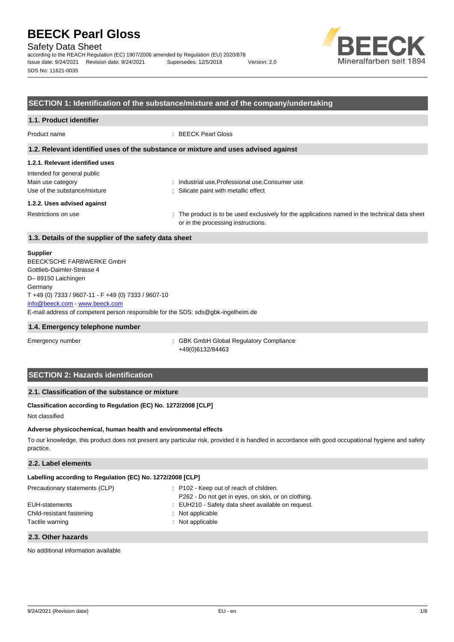Safety Data Sheet

according to the REACH Regulation (EC) 1907/2006 amended by Regulation (EU) 2020/878 Issue date: 9/24/2021 Revision date: 9/24/2021 Supersedes: 12/5/2018 Version: 2.0 SDS No: 11621-0035



# **SECTION 1: Identification of the substance/mixture and of the company/undertaking**

| 1.1. Product identifier         |                                                                                                                                      |
|---------------------------------|--------------------------------------------------------------------------------------------------------------------------------------|
| Product name                    | : BEECK Pearl Gloss                                                                                                                  |
|                                 | 1.2. Relevant identified uses of the substance or mixture and uses advised against                                                   |
| 1.2.1. Relevant identified uses |                                                                                                                                      |
| Intended for general public     |                                                                                                                                      |
| Main use category               | : Industrial use, Professional use, Consumer use                                                                                     |
| Use of the substance/mixture    | : Silicate paint with metallic effect                                                                                                |
| 1.2.2. Uses advised against     |                                                                                                                                      |
| Restrictions on use             | : The product is to be used exclusively for the applications named in the technical data sheet<br>or in the processing instructions. |
|                                 |                                                                                                                                      |

# **1.3. Details of the supplier of the safety data sheet**

#### **Supplier**

E-mail address of competent person responsible for the SDS: sds@gbk-ingelheim.de BEECK'SCHE FARBWERKE GmbH Gottlieb-Daimler-Strasse 4 D– 89150 Laichingen **Germany** T +49 (0) 7333 / 9607-11 - F +49 (0) 7333 / 9607-10 [info@beeck.com](mailto:info@beeck.com) - [www.beeck.com](http://www.beeck.com/)

#### **1.4. Emergency telephone number**

Emergency number **Emergency** number **1996** COMERGING COMPLIANCE: GBK GmbH Global Regulatory Compliance +49(0)6132/84463

# **SECTION 2: Hazards identification**

# **2.1. Classification of the substance or mixture**

# **Classification according to Regulation (EC) No. 1272/2008 [CLP]**

Not classified

### **Adverse physicochemical, human health and environmental effects**

To our knowledge, this product does not present any particular risk, provided it is handled in accordance with good occupational hygiene and safety practice.

# **2.2. Label elements**

| Labelling according to Regulation (EC) No. 1272/2008 [CLP] |                                                                                                |  |  |
|------------------------------------------------------------|------------------------------------------------------------------------------------------------|--|--|
| Precautionary statements (CLP)                             | : P102 - Keep out of reach of children.<br>P262 - Do not get in eyes, on skin, or on clothing. |  |  |
| EUH-statements                                             | : EUH210 - Safety data sheet available on request.                                             |  |  |
| Child-resistant fastening<br>Tactile warning               | : Not applicable<br>: Not applicable                                                           |  |  |

### **2.3. Other hazards**

No additional information available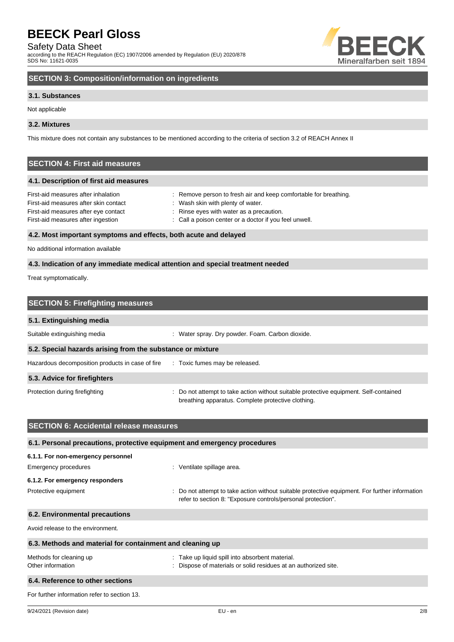Safety Data Sheet

according to the REACH Regulation (EC) 1907/2006 amended by Regulation (EU) 2020/878 SDS No: 11621-0035



# **SECTION 3: Composition/information on ingredients**

# **3.1. Substances**

Not applicable

# **3.2. Mixtures**

This mixture does not contain any substances to be mentioned according to the criteria of section 3.2 of REACH Annex II

# **SECTION 4: First aid measures**

### **4.1. Description of first aid measures**

| First-aid measures after inhalation   | : Remove person to fresh air and keep comfortable for breathing. |
|---------------------------------------|------------------------------------------------------------------|
| First-aid measures after skin contact | Wash skin with plenty of water.                                  |
| First-aid measures after eye contact  | Rinse eyes with water as a precaution.                           |
| First-aid measures after ingestion    | : Call a poison center or a doctor if you feel unwell.           |
|                                       |                                                                  |

# **4.2. Most important symptoms and effects, both acute and delayed**

No additional information available

# **4.3. Indication of any immediate medical attention and special treatment needed**

Treat symptomatically.

| <b>SECTION 5: Firefighting measures</b>                    |                                                                                                                                             |  |
|------------------------------------------------------------|---------------------------------------------------------------------------------------------------------------------------------------------|--|
| 5.1. Extinguishing media                                   |                                                                                                                                             |  |
| Suitable extinguishing media                               | : Water spray. Dry powder. Foam. Carbon dioxide.                                                                                            |  |
| 5.2. Special hazards arising from the substance or mixture |                                                                                                                                             |  |
| Hazardous decomposition products in case of fire           | : Toxic fumes may be released.                                                                                                              |  |
| 5.3. Advice for firefighters                               |                                                                                                                                             |  |
| Protection during firefighting                             | : Do not attempt to take action without suitable protective equipment. Self-contained<br>breathing apparatus. Complete protective clothing. |  |

| <b>SECTION 6: Accidental release measures</b>                            |                                                                                                                                                                |  |
|--------------------------------------------------------------------------|----------------------------------------------------------------------------------------------------------------------------------------------------------------|--|
| 6.1. Personal precautions, protective equipment and emergency procedures |                                                                                                                                                                |  |
| 6.1.1. For non-emergency personnel                                       |                                                                                                                                                                |  |
| Emergency procedures                                                     | : Ventilate spillage area.                                                                                                                                     |  |
| 6.1.2. For emergency responders                                          |                                                                                                                                                                |  |
| Protective equipment                                                     | : Do not attempt to take action without suitable protective equipment. For further information<br>refer to section 8: "Exposure controls/personal protection". |  |
| 6.2. Environmental precautions                                           |                                                                                                                                                                |  |
| Avoid release to the environment.                                        |                                                                                                                                                                |  |
| 6.3. Methods and material for containment and cleaning up                |                                                                                                                                                                |  |
| Methods for cleaning up<br>Other information                             | : Take up liquid spill into absorbent material.<br>: Dispose of materials or solid residues at an authorized site.                                             |  |
| 6.4. Reference to other sections                                         |                                                                                                                                                                |  |
| For further information refer to section 13.                             |                                                                                                                                                                |  |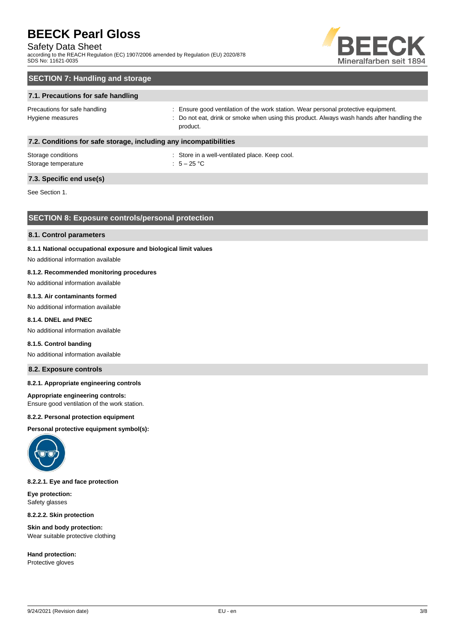# Safety Data Sheet

according to the REACH Regulation (EC) 1907/2006 amended by Regulation (EU) 2020/878 SDS No: 11621-0035



# **SECTION 7: Handling and storage**

# **7.1. Precautions for safe handling**

Precautions for safe handling state is ensure good ventilation of the work station. Wear personal protective equipment. Hygiene measures states of the state of the control of the cat, drink or smoke when using this product. Always wash hands after handling the product.

# **7.2. Conditions for safe storage, including any incompatibilities**

| Storage conditions  | : Store in a |
|---------------------|--------------|
| Storage temperature | $: 5-25$ °C  |

: Store in a well-ventilated place. Keep cool.

# **7.3. Specific end use(s)**

See Section 1.

# **SECTION 8: Exposure controls/personal protection**

#### **8.1. Control parameters**

### **8.1.1 National occupational exposure and biological limit values**

No additional information available

# **8.1.2. Recommended monitoring procedures**

No additional information available

# **8.1.3. Air contaminants formed**

No additional information available

# **8.1.4. DNEL and PNEC**

No additional information available

#### **8.1.5. Control banding**

No additional information available

# **8.2. Exposure controls**

# **8.2.1. Appropriate engineering controls**

#### **Appropriate engineering controls:**

Ensure good ventilation of the work station.

#### **8.2.2. Personal protection equipment**

**Personal protective equipment symbol(s):**



# **8.2.2.1. Eye and face protection**

**Eye protection:** Safety glasses

**8.2.2.2. Skin protection**

**Skin and body protection:** Wear suitable protective clothing

**Hand protection:** Protective gloves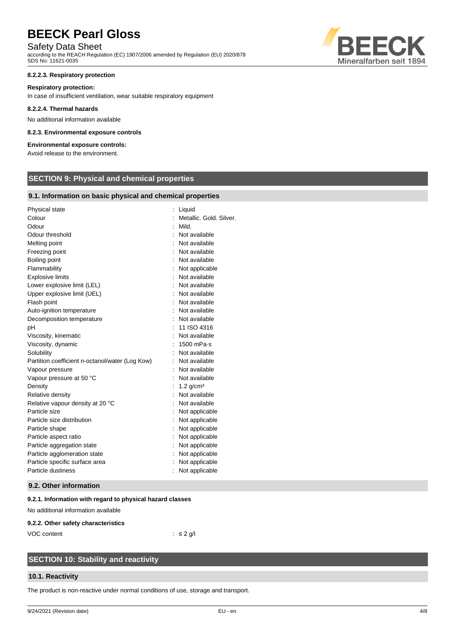# Safety Data Sheet

according to the REACH Regulation (EC) 1907/2006 amended by Regulation (EU) 2020/878 SDS No: 11621-0035

# **8.2.2.3. Respiratory protection**

#### **Respiratory protection:**

In case of insufficient ventilation, wear suitable respiratory equipment

#### **8.2.2.4. Thermal hazards**

No additional information available

### **8.2.3. Environmental exposure controls**

# **Environmental exposure controls:**

Avoid release to the environment.

# **SECTION 9: Physical and chemical properties**

# **9.1. Information on basic physical and chemical properties**

| Physical state                                  | Liquid<br>$\ddot{\cdot}$ |  |
|-------------------------------------------------|--------------------------|--|
| Colour                                          | Metallic, Gold, Silver.  |  |
| Odour                                           | Mild.                    |  |
| Odour threshold                                 | Not available            |  |
| Melting point                                   | Not available            |  |
| Freezing point                                  | Not available            |  |
| Boiling point                                   | Not available            |  |
| Flammability                                    | Not applicable           |  |
| <b>Explosive limits</b>                         | Not available            |  |
| Lower explosive limit (LEL)                     | Not available            |  |
| Upper explosive limit (UEL)                     | Not available            |  |
| Flash point                                     | Not available            |  |
| Auto-ignition temperature                       | : Not available          |  |
| Decomposition temperature                       | Not available            |  |
| рH                                              | 11 ISO 4316              |  |
| Viscosity, kinematic                            | Not available            |  |
| Viscosity, dynamic                              | $1500$ mPa $\cdot$ s     |  |
| Solubility                                      | Not available            |  |
| Partition coefficient n-octanol/water (Log Kow) | Not available            |  |
| Vapour pressure                                 | Not available            |  |
| Vapour pressure at 50 °C                        | Not available            |  |
| Density                                         | $1.2$ g/cm <sup>3</sup>  |  |
| Relative density                                | Not available            |  |
| Relative vapour density at 20 °C                | Not available            |  |
| Particle size                                   | Not applicable           |  |
| Particle size distribution                      | Not applicable           |  |
| Particle shape                                  | Not applicable           |  |
| Particle aspect ratio                           | Not applicable           |  |
| Particle aggregation state                      | Not applicable           |  |
| Particle agglomeration state                    | Not applicable           |  |
| Particle specific surface area                  | Not applicable           |  |
| Particle dustiness                              | Not applicable           |  |
|                                                 |                          |  |

# **9.2. Other information**

# **9.2.1. Information with regard to physical hazard classes**

No additional information available

#### **9.2.2. Other safety characteristics**

VOC content : ≤ 2 g/l

# **SECTION 10: Stability and reactivity**

# **10.1. Reactivity**

The product is non-reactive under normal conditions of use, storage and transport.

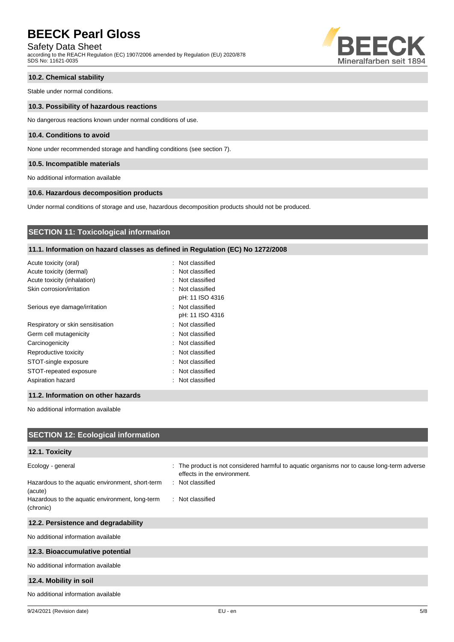Safety Data Sheet

according to the REACH Regulation (EC) 1907/2006 amended by Regulation (EU) 2020/878 SDS No: 11621-0035



# **10.2. Chemical stability**

Stable under normal conditions.

### **10.3. Possibility of hazardous reactions**

No dangerous reactions known under normal conditions of use.

# **10.4. Conditions to avoid**

None under recommended storage and handling conditions (see section 7).

# **10.5. Incompatible materials**

No additional information available

# **10.6. Hazardous decomposition products**

Under normal conditions of storage and use, hazardous decomposition products should not be produced.

# **SECTION 11: Toxicological information**

# **11.1. Information on hazard classes as defined in Regulation (EC) No 1272/2008**

| Acute toxicity (oral)             | : Not classified |
|-----------------------------------|------------------|
| Acute toxicity (dermal)           | : Not classified |
| Acute toxicity (inhalation)       | : Not classified |
| Skin corrosion/irritation         | : Not classified |
|                                   | pH: 11 ISO 4316  |
| Serious eye damage/irritation     | : Not classified |
|                                   | pH: 11 ISO 4316  |
| Respiratory or skin sensitisation | : Not classified |
| Germ cell mutagenicity            | : Not classified |
| Carcinogenicity                   | : Not classified |
| Reproductive toxicity             | : Not classified |
| STOT-single exposure              | : Not classified |
| STOT-repeated exposure            | : Not classified |
| Aspiration hazard                 | : Not classified |
|                                   |                  |

### **11.2. Information on other hazards**

No additional information available

| <b>SECTION 12: Ecological information</b>                                                                                                        |                                                                                                                                                                    |  |  |
|--------------------------------------------------------------------------------------------------------------------------------------------------|--------------------------------------------------------------------------------------------------------------------------------------------------------------------|--|--|
| 12.1. Toxicity                                                                                                                                   |                                                                                                                                                                    |  |  |
| Ecology - general<br>Hazardous to the aquatic environment, short-term<br>(acute)<br>Hazardous to the aquatic environment, long-term<br>(chronic) | : The product is not considered harmful to aquatic organisms nor to cause long-term adverse<br>effects in the environment.<br>: Not classified<br>: Not classified |  |  |
| 12.2. Persistence and degradability                                                                                                              |                                                                                                                                                                    |  |  |
| No additional information available                                                                                                              |                                                                                                                                                                    |  |  |
| 12.3. Bioaccumulative potential                                                                                                                  |                                                                                                                                                                    |  |  |
| No additional information available                                                                                                              |                                                                                                                                                                    |  |  |
| 12.4. Mobility in soil                                                                                                                           |                                                                                                                                                                    |  |  |
| No additional information available                                                                                                              |                                                                                                                                                                    |  |  |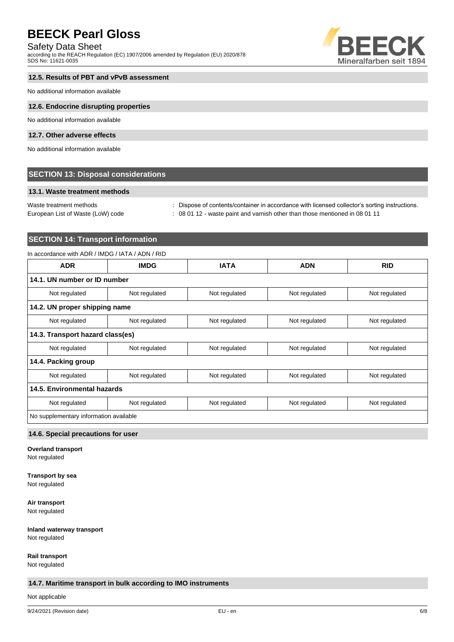# Safety Data Sheet

according to the REACH Regulation (EC) 1907/2006 amended by Regulation (EU) 2020/878 SDS No: 11621-0035



# **12.5. Results of PBT and vPvB assessment**

No additional information available

### **12.6. Endocrine disrupting properties**

No additional information available

# **12.7. Other adverse effects**

No additional information available

# **SECTION 13: Disposal considerations**

# **13.1. Waste treatment methods**

Waste treatment methods : Dispose of contents/container in accordance with licensed collector's sorting instructions. European List of Waste (LoW) code : 08 01 12 - waste paint and varnish other than those mentioned in 08 01 11

# **SECTION 14: Transport information**

# In accordance with ADR / IMDG / IATA / ADN / RID

| <b>ADR</b>                             | <b>IMDG</b>                  | <b>IATA</b>   | <b>ADN</b>    | <b>RID</b>    |
|----------------------------------------|------------------------------|---------------|---------------|---------------|
|                                        | 14.1. UN number or ID number |               |               |               |
| Not regulated                          | Not regulated                | Not regulated | Not regulated | Not regulated |
| 14.2. UN proper shipping name          |                              |               |               |               |
| Not regulated                          | Not regulated                | Not regulated | Not regulated | Not regulated |
| 14.3. Transport hazard class(es)       |                              |               |               |               |
| Not regulated                          | Not regulated                | Not regulated | Not regulated | Not regulated |
| 14.4. Packing group                    |                              |               |               |               |
| Not regulated                          | Not regulated                | Not regulated | Not regulated | Not regulated |
| 14.5. Environmental hazards            |                              |               |               |               |
| Not regulated                          | Not regulated                | Not regulated | Not regulated | Not regulated |
| No supplementary information available |                              |               |               |               |

# **14.6. Special precautions for user**

**Overland transport**

Not regulated

# **Transport by sea**

Not regulated

**Air transport** Not regulated

**Inland waterway transport**

Not regulated

**Rail transport** Not regulated

# **14.7. Maritime transport in bulk according to IMO instruments**

Not applicable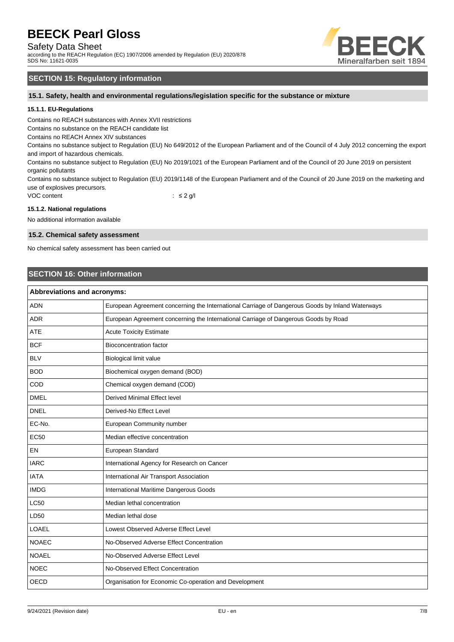Safety Data Sheet

according to the REACH Regulation (EC) 1907/2006 amended by Regulation (EU) 2020/878 SDS No: 11621-0035



# **SECTION 15: Regulatory information**

**15.1. Safety, health and environmental regulations/legislation specific for the substance or mixture**

# **15.1.1. EU-Regulations**

Contains no REACH substances with Annex XVII restrictions

Contains no substance on the REACH candidate list

Contains no REACH Annex XIV substances

Contains no substance subject to Regulation (EU) No 649/2012 of the European Parliament and of the Council of 4 July 2012 concerning the export and import of hazardous chemicals.

Contains no substance subject to Regulation (EU) No 2019/1021 of the European Parliament and of the Council of 20 June 2019 on persistent organic pollutants

Contains no substance subject to Regulation (EU) 2019/1148 of the European Parliament and of the Council of 20 June 2019 on the marketing and use of explosives precursors.

VOC content : ≤ 2 g/l

# **15.1.2. National regulations**

No additional information available

# **15.2. Chemical safety assessment**

No chemical safety assessment has been carried out

# **SECTION 16: Other information**

| Abbreviations and acronyms: |                                                                                                 |  |
|-----------------------------|-------------------------------------------------------------------------------------------------|--|
| <b>ADN</b>                  | European Agreement concerning the International Carriage of Dangerous Goods by Inland Waterways |  |
| <b>ADR</b>                  | European Agreement concerning the International Carriage of Dangerous Goods by Road             |  |
| <b>ATE</b>                  | <b>Acute Toxicity Estimate</b>                                                                  |  |
| <b>BCF</b>                  | <b>Bioconcentration factor</b>                                                                  |  |
| <b>BLV</b>                  | Biological limit value                                                                          |  |
| <b>BOD</b>                  | Biochemical oxygen demand (BOD)                                                                 |  |
| COD                         | Chemical oxygen demand (COD)                                                                    |  |
| <b>DMEL</b>                 | <b>Derived Minimal Effect level</b>                                                             |  |
| <b>DNEL</b>                 | Derived-No Effect Level                                                                         |  |
| EC-No.                      | European Community number                                                                       |  |
| <b>EC50</b>                 | Median effective concentration                                                                  |  |
| <b>EN</b>                   | European Standard                                                                               |  |
| <b>IARC</b>                 | International Agency for Research on Cancer                                                     |  |
| <b>IATA</b>                 | International Air Transport Association                                                         |  |
| <b>IMDG</b>                 | International Maritime Dangerous Goods                                                          |  |
| <b>LC50</b>                 | Median lethal concentration                                                                     |  |
| LD50                        | Median lethal dose                                                                              |  |
| LOAEL                       | Lowest Observed Adverse Effect Level                                                            |  |
| <b>NOAEC</b>                | No-Observed Adverse Effect Concentration                                                        |  |
| <b>NOAEL</b>                | No-Observed Adverse Effect Level                                                                |  |
| <b>NOEC</b>                 | No-Observed Effect Concentration                                                                |  |
| <b>OECD</b>                 | Organisation for Economic Co-operation and Development                                          |  |